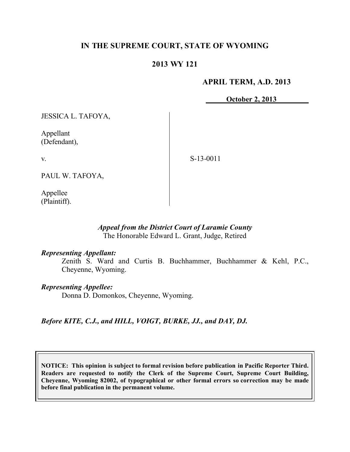# **IN THE SUPREME COURT, STATE OF WYOMING**

# **2013 WY 121**

## **APRIL TERM, A.D. 2013**

**October 2, 2013**

JESSICA L. TAFOYA,

Appellant (Defendant),

v.

S-13-0011

PAUL W. TAFOYA,

Appellee (Plaintiff).

### *Appeal from the District Court of Laramie County* The Honorable Edward L. Grant, Judge, Retired

### *Representing Appellant:*

Zenith S. Ward and Curtis B. Buchhammer, Buchhammer & Kehl, P.C., Cheyenne, Wyoming.

### *Representing Appellee:*

Donna D. Domonkos, Cheyenne, Wyoming.

*Before KITE, C.J., and HILL, VOIGT, BURKE, JJ., and DAY, DJ.*

**NOTICE: This opinion is subject to formal revision before publication in Pacific Reporter Third. Readers are requested to notify the Clerk of the Supreme Court, Supreme Court Building, Cheyenne, Wyoming 82002, of typographical or other formal errors so correction may be made before final publication in the permanent volume.**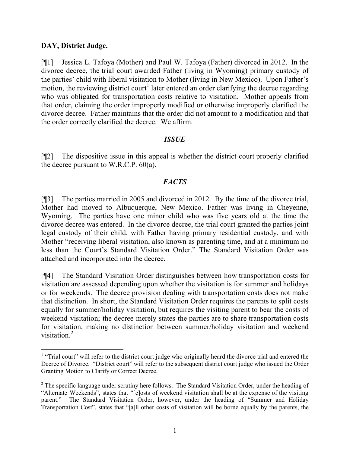## **DAY, District Judge.**

[¶1] Jessica L. Tafoya (Mother) and Paul W. Tafoya (Father) divorced in 2012. In the divorce decree, the trial court awarded Father (living in Wyoming) primary custody of the parties' child with liberal visitation to Mother (living in New Mexico). Upon Father's motion, the reviewing district court<sup>1</sup> later entered an order clarifying the decree regarding who was obligated for transportation costs relative to visitation. Mother appeals from that order, claiming the order improperly modified or otherwise improperly clarified the divorce decree. Father maintains that the order did not amount to a modification and that the order correctly clarified the decree. We affirm.

## *ISSUE*

[¶2] The dispositive issue in this appeal is whether the district court properly clarified the decree pursuant to W.R.C.P. 60(a).

## *FACTS*

[¶3] The parties married in 2005 and divorced in 2012. By the time of the divorce trial, Mother had moved to Albuquerque, New Mexico. Father was living in Cheyenne, Wyoming. The parties have one minor child who was five years old at the time the divorce decree was entered. In the divorce decree, the trial court granted the parties joint legal custody of their child, with Father having primary residential custody, and with Mother "receiving liberal visitation, also known as parenting time, and at a minimum no less than the Court's Standard Visitation Order." The Standard Visitation Order was attached and incorporated into the decree.

[¶4] The Standard Visitation Order distinguishes between how transportation costs for visitation are assessed depending upon whether the visitation is for summer and holidays or for weekends. The decree provision dealing with transportation costs does not make that distinction. In short, the Standard Visitation Order requires the parents to split costs equally for summer/holiday visitation, but requires the visiting parent to bear the costs of weekend visitation; the decree merely states the parties are to share transportation costs for visitation, making no distinction between summer/holiday visitation and weekend visitation. 2

<sup>&</sup>lt;sup>1</sup> "Trial court" will refer to the district court judge who originally heard the divorce trial and entered the Decree of Divorce. "District court" will refer to the subsequent district court judge who issued the Order Granting Motion to Clarify or Correct Decree.

<sup>&</sup>lt;sup>2</sup> The specific language under scrutiny here follows. The Standard Visitation Order, under the heading of "Alternate Weekends", states that "[c]osts of weekend visitation shall be at the expense of the visiting parent." The Standard Visitation Order, however, under the heading of "Summer and Holiday Transportation Cost", states that "[a]ll other costs of visitation will be borne equally by the parents, the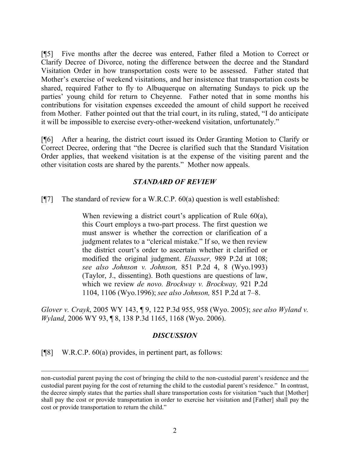[¶5] Five months after the decree was entered, Father filed a Motion to Correct or Clarify Decree of Divorce, noting the difference between the decree and the Standard Visitation Order in how transportation costs were to be assessed. Father stated that Mother's exercise of weekend visitations, and her insistence that transportation costs be shared, required Father to fly to Albuquerque on alternating Sundays to pick up the parties' young child for return to Cheyenne. Father noted that in some months his contributions for visitation expenses exceeded the amount of child support he received from Mother. Father pointed out that the trial court, in its ruling, stated, "I do anticipate it will be impossible to exercise every-other-weekend visitation, unfortunately."

[¶6] After a hearing, the district court issued its Order Granting Motion to Clarify or Correct Decree, ordering that "the Decree is clarified such that the Standard Visitation Order applies, that weekend visitation is at the expense of the visiting parent and the other visitation costs are shared by the parents." Mother now appeals.

## *STANDARD OF REVIEW*

[ $[$ ] The standard of review for a W.R.C.P. 60(a) question is well established:

When reviewing a district court's application of Rule 60(a), this Court employs a two-part process. The first question we must answer is whether the correction or clarification of a judgment relates to a "clerical mistake." If so, we then review the district court's order to ascertain whether it clarified or modified the original judgment. *Elsasser,* 989 P.2d at 108; *see also Johnson v. Johnson,* 851 P.2d 4, 8 (Wyo.1993) (Taylor, J., dissenting). Both questions are questions of law, which we review *de novo. Brockway v. Brockway,* 921 P.2d 1104, 1106 (Wyo.1996); *see also Johnson,* 851 P.2d at 7–8.

*Glover v. Crayk*, 2005 WY 143, ¶ 9, 122 P.3d 955, 958 (Wyo. 2005); *see also Wyland v. Wyland*, 2006 WY 93, ¶ 8, 138 P.3d 1165, 1168 (Wyo. 2006).

### *DISCUSSION*

[¶8] W.R.C.P. 60(a) provides, in pertinent part, as follows:

non-custodial parent paying the cost of bringing the child to the non-custodial parent's residence and the custodial parent paying for the cost of returning the child to the custodial parent's residence." In contrast, the decree simply states that the parties shall share transportation costs for visitation "such that [Mother] shall pay the cost or provide transportation in order to exercise her visitation and [Father] shall pay the cost or provide transportation to return the child."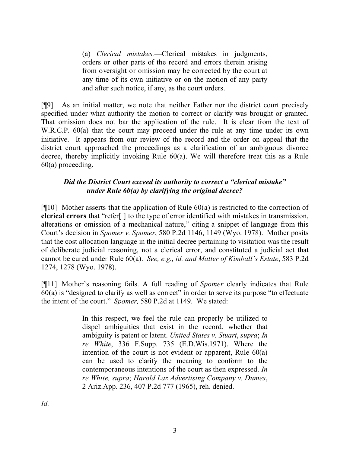(a) *Clerical mistakes.*—Clerical mistakes in judgments, orders or other parts of the record and errors therein arising from oversight or omission may be corrected by the court at any time of its own initiative or on the motion of any party and after such notice, if any, as the court orders.

[¶9] As an initial matter, we note that neither Father nor the district court precisely specified under what authority the motion to correct or clarify was brought or granted. That omission does not bar the application of the rule. It is clear from the text of W.R.C.P. 60(a) that the court may proceed under the rule at any time under its own initiative. It appears from our review of the record and the order on appeal that the district court approached the proceedings as a clarification of an ambiguous divorce decree, thereby implicitly invoking Rule 60(a). We will therefore treat this as a Rule 60(a) proceeding.

# *Did the District Court exceed its authority to correct a "clerical mistake" under Rule 60(a) by clarifying the original decree?*

[ $[$ [10] Mother asserts that the application of Rule 60(a) is restricted to the correction of **clerical errors** that "refer[ ] to the type of error identified with mistakes in transmission, alterations or omission of a mechanical nature," citing a snippet of language from this Court's decision in *Spomer v. Spomer*, 580 P.2d 1146, 1149 (Wyo. 1978). Mother posits that the cost allocation language in the initial decree pertaining to visitation was the result of deliberate judicial reasoning, not a clerical error, and constituted a judicial act that cannot be cured under Rule 60(a). *See, e.g., id. and Matter of Kimball's Estate*, 583 P.2d 1274, 1278 (Wyo. 1978).

[¶11] Mother's reasoning fails. A full reading of *Spomer* clearly indicates that Rule 60(a) is "designed to clarify as well as correct" in order to serve its purpose "to effectuate the intent of the court." *Spomer,* 580 P.2d at 1149. We stated:

> In this respect, we feel the rule can properly be utilized to dispel ambiguities that exist in the record, whether that ambiguity is patent or latent. *United States v. Stuart*, *supra*; *In re White*, 336 F.Supp. 735 (E.D.Wis.1971). Where the intention of the court is not evident or apparent, Rule 60(a) can be used to clarify the meaning to conform to the contemporaneous intentions of the court as then expressed. *In re White, supra*; *Harold Laz Advertising Company v. Dumes*, 2 Ariz.App. 236, 407 P.2d 777 (1965), reh. denied.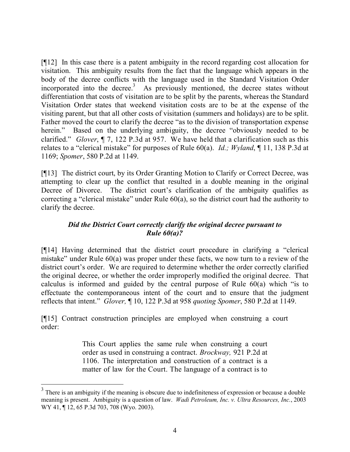[¶12] In this case there is a patent ambiguity in the record regarding cost allocation for visitation. This ambiguity results from the fact that the language which appears in the body of the decree conflicts with the language used in the Standard Visitation Order incorporated into the decree.<sup>3</sup> As previously mentioned, the decree states without differentiation that costs of visitation are to be split by the parents, whereas the Standard Visitation Order states that weekend visitation costs are to be at the expense of the visiting parent, but that all other costs of visitation (summers and holidays) are to be split. Father moved the court to clarify the decree "as to the division of transportation expense herein." Based on the underlying ambiguity, the decree "obviously needed to be clarified." *Glover*, ¶ 7, 122 P.3d at 957. We have held that a clarification such as this relates to a "clerical mistake" for purposes of Rule 60(a). *Id.; Wyland*, ¶ 11, 138 P.3d at 1169; *Spomer*, 580 P.2d at 1149.

[¶13] The district court, by its Order Granting Motion to Clarify or Correct Decree, was attempting to clear up the conflict that resulted in a double meaning in the original Decree of Divorce. The district court's clarification of the ambiguity qualifies as correcting a "clerical mistake" under Rule 60(a), so the district court had the authority to clarify the decree.

## *Did the District Court correctly clarify the original decree pursuant to Rule 60(a)?*

[¶14] Having determined that the district court procedure in clarifying a "clerical mistake" under Rule 60(a) was proper under these facts, we now turn to a review of the district court's order. We are required to determine whether the order correctly clarified the original decree, or whether the order improperly modified the original decree. That calculus is informed and guided by the central purpose of Rule 60(a) which "is to effectuate the contemporaneous intent of the court and to ensure that the judgment reflects that intent." *Glover,* ¶ 10, 122 P.3d at 958 *quoting Spomer*, 580 P.2d at 1149.

[¶15] Contract construction principles are employed when construing a court order:

> This Court applies the same rule when construing a court order as used in construing a contract. *Brockway,* 921 P.2d at 1106. The interpretation and construction of a contract is a matter of law for the Court. The language of a contract is to

<sup>&</sup>lt;sup>3</sup> There is an ambiguity if the meaning is obscure due to indefiniteness of expression or because a double meaning is present. Ambiguity is a question of law. *Wadi Petroleum, Inc. v. Ultra Resources, Inc.*, 2003 WY 41, ¶ 12, 65 P.3d 703, 708 (Wyo. 2003).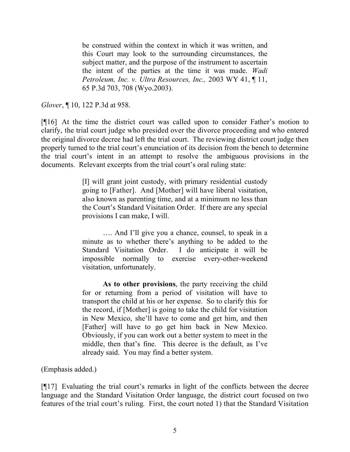be construed within the context in which it was written, and this Court may look to the surrounding circumstances, the subject matter, and the purpose of the instrument to ascertain the intent of the parties at the time it was made. *Wadi Petroleum, Inc. v. Ultra Resources, Inc.,* 2003 WY 41, ¶ 11, 65 P.3d 703, 708 (Wyo.2003).

*Glover*, ¶ 10, 122 P.3d at 958.

[¶16] At the time the district court was called upon to consider Father's motion to clarify, the trial court judge who presided over the divorce proceeding and who entered the original divorce decree had left the trial court. The reviewing district court judge then properly turned to the trial court's enunciation of its decision from the bench to determine the trial court's intent in an attempt to resolve the ambiguous provisions in the documents. Relevant excerpts from the trial court's oral ruling state:

> [I] will grant joint custody, with primary residential custody going to [Father]. And [Mother] will have liberal visitation, also known as parenting time, and at a minimum no less than the Court's Standard Visitation Order. If there are any special provisions I can make, I will.

> …. And I'll give you a chance, counsel, to speak in a minute as to whether there's anything to be added to the Standard Visitation Order. I do anticipate it will be impossible normally to exercise every-other-weekend visitation, unfortunately.

> **As to other provisions**, the party receiving the child for or returning from a period of visitation will have to transport the child at his or her expense. So to clarify this for the record, if [Mother] is going to take the child for visitation in New Mexico, she'll have to come and get him, and then [Father] will have to go get him back in New Mexico. Obviously, if you can work out a better system to meet in the middle, then that's fine. This decree is the default, as I've already said. You may find a better system.

(Emphasis added.)

[¶17] Evaluating the trial court's remarks in light of the conflicts between the decree language and the Standard Visitation Order language, the district court focused on two features of the trial court's ruling. First, the court noted 1) that the Standard Visitation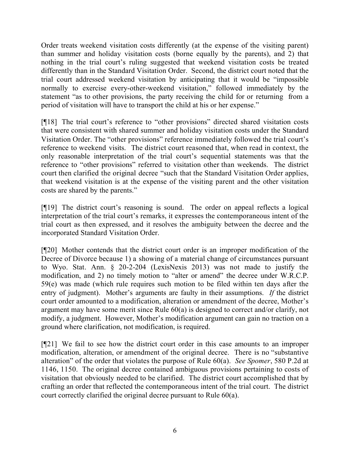Order treats weekend visitation costs differently (at the expense of the visiting parent) than summer and holiday visitation costs (borne equally by the parents), and 2) that nothing in the trial court's ruling suggested that weekend visitation costs be treated differently than in the Standard Visitation Order. Second, the district court noted that the trial court addressed weekend visitation by anticipating that it would be "impossible normally to exercise every-other-weekend visitation," followed immediately by the statement "as to other provisions, the party receiving the child for or returning from a period of visitation will have to transport the child at his or her expense."

[¶18] The trial court's reference to "other provisions" directed shared visitation costs that were consistent with shared summer and holiday visitation costs under the Standard Visitation Order. The "other provisions" reference immediately followed the trial court's reference to weekend visits. The district court reasoned that, when read in context, the only reasonable interpretation of the trial court's sequential statements was that the reference to "other provisions" referred to visitation other than weekends. The district court then clarified the original decree "such that the Standard Visitation Order applies, that weekend visitation is at the expense of the visiting parent and the other visitation costs are shared by the parents."

[¶19] The district court's reasoning is sound. The order on appeal reflects a logical interpretation of the trial court's remarks, it expresses the contemporaneous intent of the trial court as then expressed, and it resolves the ambiguity between the decree and the incorporated Standard Visitation Order.

[¶20] Mother contends that the district court order is an improper modification of the Decree of Divorce because 1) a showing of a material change of circumstances pursuant to Wyo. Stat. Ann. § 20-2-204 (LexisNexis 2013) was not made to justify the modification, and 2) no timely motion to "alter or amend" the decree under W.R.C.P. 59(e) was made (which rule requires such motion to be filed within ten days after the entry of judgment). Mother's arguments are faulty in their assumptions. *If* the district court order amounted to a modification, alteration or amendment of the decree, Mother's argument may have some merit since Rule 60(a) is designed to correct and/or clarify, not modify, a judgment. However, Mother's modification argument can gain no traction on a ground where clarification, not modification, is required.

[¶21] We fail to see how the district court order in this case amounts to an improper modification, alteration, or amendment of the original decree. There is no "substantive alteration" of the order that violates the purpose of Rule 60(a). *See Spomer*, 580 P.2d at 1146, 1150. The original decree contained ambiguous provisions pertaining to costs of visitation that obviously needed to be clarified. The district court accomplished that by crafting an order that reflected the contemporaneous intent of the trial court. The district court correctly clarified the original decree pursuant to Rule 60(a).